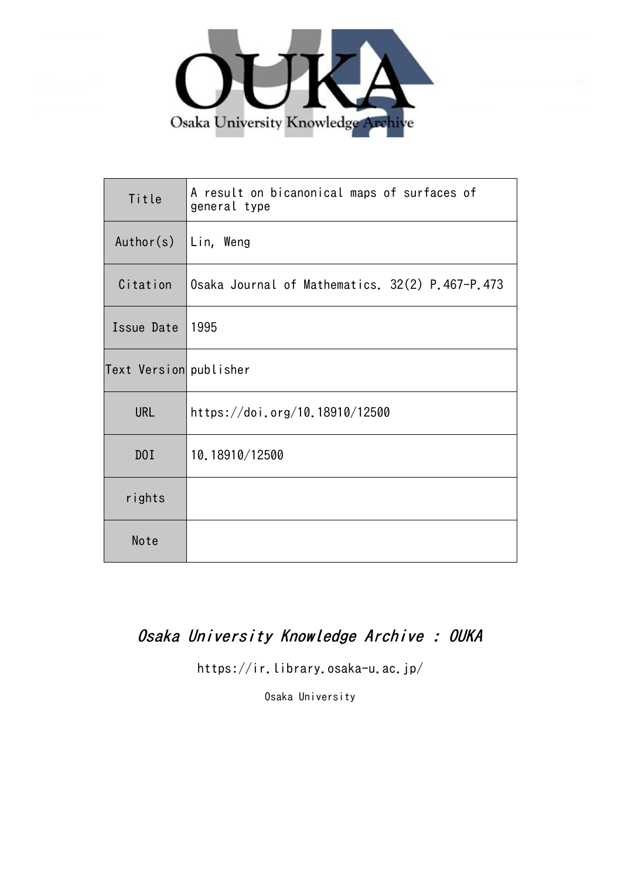

| Title                  | A result on bicanonical maps of surfaces of<br>general type |
|------------------------|-------------------------------------------------------------|
| Author(s)              | Lin, Weng                                                   |
| Citation               | Osaka Journal of Mathematics. 32(2) P.467-P.473             |
| Issue Date             | 1995                                                        |
| Text Version publisher |                                                             |
| <b>URL</b>             | https://doi.org/10.18910/12500                              |
| D0I                    | 10.18910/12500                                              |
| rights                 |                                                             |
| Note                   |                                                             |

## Osaka University Knowledge Archive : OUKA

https://ir.library.osaka-u.ac.jp/

Osaka University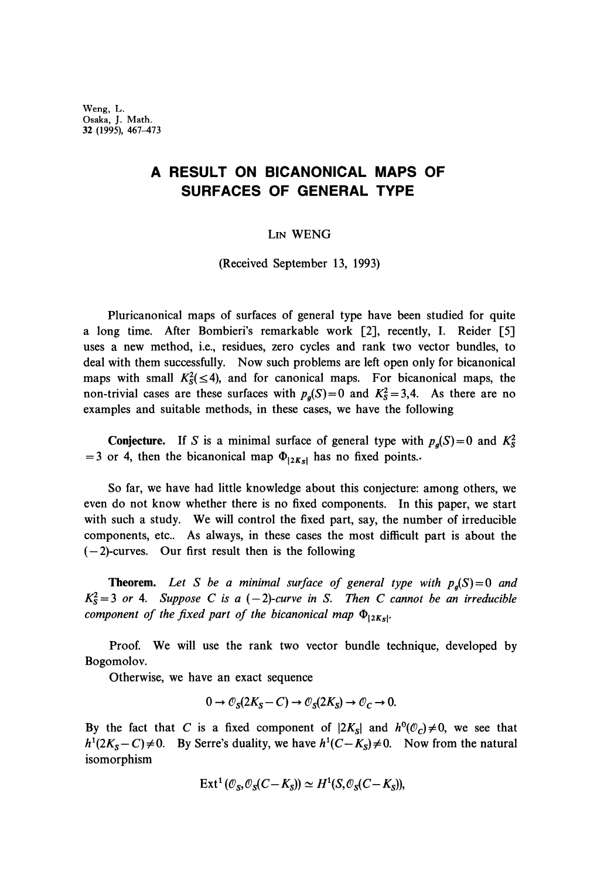Weng, L. Osaka, J. Math. 32 (1995), 467-473

## **A RESULT ON BICANONICAL MAPS OF SURFACES OF GENERAL TYPE**

LIN WENG

(Received September 13, 1993)

Pluricanonical maps of surfaces of general type have been studied for quite a long time. After Bombieri's remarkable work [2], recently, I. Reider [5] uses a new method, i.e., residues, zero cycles and rank two vector bundles, to deal with them successfully. Now such problems are left open only for bicanonical maps with small  $K_S^2(\leq 4)$ , and for canonical maps. For bicanonical maps, the non-trivial cases are these surfaces with  $p_g(S)=0$  and  $K_s^2=3,4$ . As there are no examples and suitable methods, in these cases, we have the following

**Conjecture.** If S is a minimal surface of general type with  $p_g(S) = 0$  and  $K_s^2$ = 3 or 4, then the bicanonical map  $\Phi_{|2K_{\rm s}|}$  has no fixed points.

So far, we have had little knowledge about this conjecture: among others, we even do not know whether there is no fixed components. In this paper, we start with such a study. We will control the fixed part, say, the number of irreducible components, etc.. As always, in these cases the most difficult part is about the  $(-2)$ -curves. Our first result then is the following

**Theorem.** *Let S be a minimal surface of general type with p<sup>g</sup> (S) = Q and*  $K_S^2 = 3$  or 4. Suppose C is a  $(-2)$ -curve in S. Then C cannot be an irreducible *component of the fixed part of the bicanonical map*  $Φ_{|2K5|}$ . |

Proof. We will use the rank two vector bundle technique, developed by Bogomolov.

Otherwise, we have an exact sequence

$$
0 \to \mathcal{O}_S(2K_S - C) \to \mathcal{O}_S(2K_S) \to \mathcal{O}_C \to 0.
$$

By the fact that C is a fixed component of  $|2K_s|$  and  $h^0(\mathcal{O}_c) \neq 0$ , we see that  $h^1(2K_S - C) \neq 0$ . By Serre's duality, we have  $h^1(C - K_S) \neq 0$ . Now from the natural isomorphism

$$
\operatorname{Ext}^1(\mathcal{O}_S, \mathcal{O}_S(C-K_S)) \simeq H^1(S, \mathcal{O}_S(C-K_S)),
$$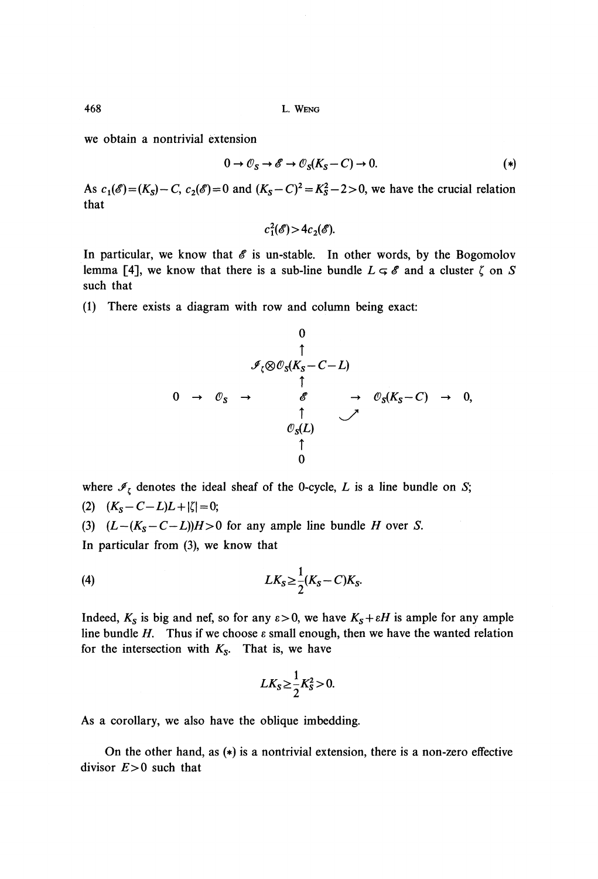468 L. WENG

we obtain a nontrivial extension

$$
0 \to \mathcal{O}_S \to \mathscr{E} \to \mathcal{O}_S(K_S - C) \to 0. \tag{*}
$$

As  $c_1(\mathscr{E}) = (K_s) - C$ ,  $c_2(\mathscr{E}) = 0$  and  $(K_s - C)^2 = K_s^2 - 2 > 0$ , we have the crucial relation that

$$
c_1^2(\mathscr{E}) > 4c_2(\mathscr{E}).
$$

In particular, we know that  $\mathscr E$  is un-stable. In other words, by the Bogomolov lemma [4], we know that there is a sub-line bundle  $L \subseteq \mathcal{E}$  and a cluster  $\zeta$  on *S* such that

(1) There exists a diagram with row and column being exact:

0 T *S -C-L)* T \* -> 0<sup>S</sup> (K<sup>5</sup> -C) -> 0, ί ΐ 0

where  $\mathcal{I}_{\zeta}$  denotes the ideal sheaf of the 0-cycle, L is a line bundle on S; (2)  $(K_S - C - L)L + |\zeta| = 0;$ (3)  $(L-(K_S-C-L))H>0$  for any ample line bundle *H* over *S*. In particular from (3), we know that

$$
(4) \hspace{3.1em} L K_S \geq \frac{1}{2} (K_S - C) K_S.
$$

Indeed,  $K_s$  is big and nef, so for any  $\varepsilon > 0$ , we have  $K_s + \varepsilon H$  is ample for any ample line bundle *H*. Thus if we choose  $\varepsilon$  small enough, then we have the wanted relation for the intersection with  $K<sub>S</sub>$ . That is, we have

$$
LK_S \geq \frac{1}{2}K_S^2 > 0.
$$

As a corollary, we also have the oblique imbedding.

On the other hand, as (\*) is a nontrivial extension, there is a non-zero effective divisor *E>0* such that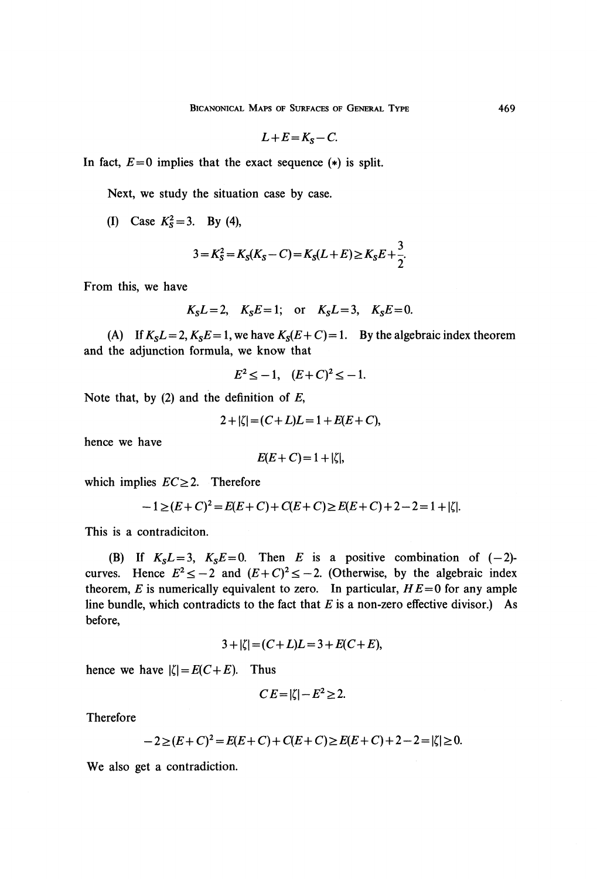$$
L+E=K_S-C.
$$

In fact,  $E=0$  implies that the exact sequence  $(*)$  is split.

Next, we study the situation case by case.

(I) Case  $K_s^2 = 3$ . By (4),

$$
3 = K_S^2 = K_S(K_S - C) = K_S(L + E) \ge K_S E + \frac{3}{2}.
$$

 $\overline{a}$ 

From this, we have

$$
K_S L = 2, \quad K_S E = 1; \quad \text{or} \quad K_S L = 3, \quad K_S E = 0.
$$

(A) If  $K_S L = 2$ ,  $K_S E = 1$ , we have  $K_S (E + C) = 1$ . By the algebraic index theorem and the adjunction formula, we know that

$$
E^2 \le -1, \quad (E+C)^2 \le -1.
$$

Note that, by (2) and the definition of *E,*

$$
2+|\zeta| = (C+L)L = 1 + E(E+C),
$$

hence we have

$$
E(E+C)=1+|\zeta|,
$$

which implies  $EC \geq 2$ . Therefore

$$
-1 \ge (E+C)^2 = E(E+C) + C(E+C) \ge E(E+C) + 2 - 2 = 1 + |\zeta|.
$$

This is a contradiciton.

(B) If  $K_S L = 3$ ,  $K_S E = 0$ . Then *E* is a positive combination of  $(-2)$ curves. Hence  $E^2 \le -2$  and  $(E+C)^2 \le -2$ . (Otherwise, by the algebraic index theorem,  $E$  is numerically equivalent to zero. In particular,  $HE=0$  for any ample line bundle, which contradicts to the fact that *E* is a non-zero effective divisor.) As before,

$$
3 + |\zeta| = (C + L)L = 3 + E(C + E),
$$

hence we have  $|\zeta| = E(C + E)$ . Thus

$$
CE = |\zeta| - E^2 \ge 2.
$$

Therefore

$$
-2 \ge (E+C)^2 = E(E+C) + C(E+C) \ge E(E+C) + 2 - 2 = |\zeta| \ge 0.
$$

We also get a contradiction.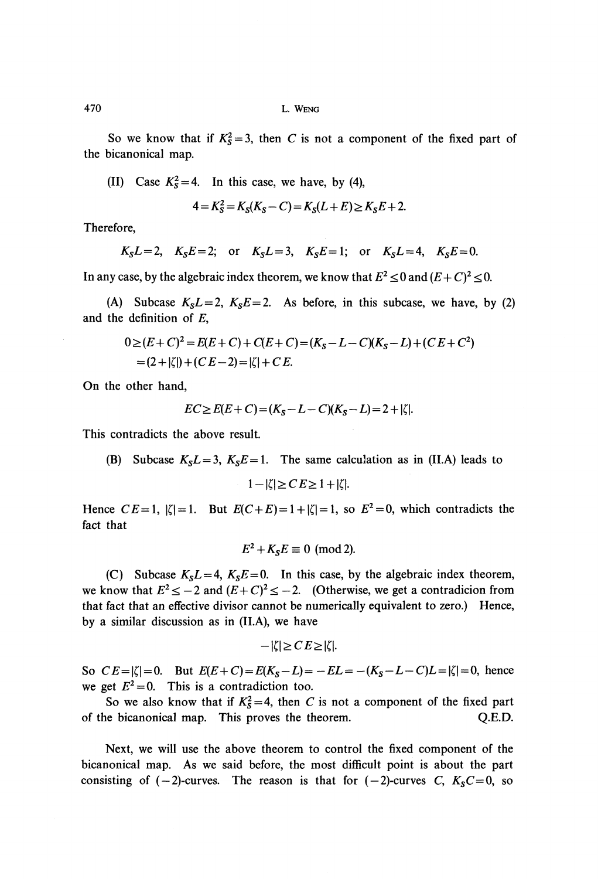So we know that if  $K_5^2 = 3$ , then C is not a component of the fixed part of the bicanonical map.

(II) Case  $K_s^2 = 4$ . In this case, we have, by (4),

$$
4 = K_S^2 = K_S(K_S - C) = K_S(L + E) \ge K_S E + 2.
$$

Therefore,

$$
K_S L = 2
$$
,  $K_S E = 2$ ; or  $K_S L = 3$ ,  $K_S E = 1$ ; or  $K_S L = 4$ ,  $K_S E = 0$ .

In any case, by the algebraic index theorem, we know that  $E^2 \le 0$  and  $(E + C)^2 \le 0$ .

(A) Subcase  $K_S L = 2$ ,  $K_S E = 2$ . As before, in this subcase, we have, by (2) and the definition of *E,*

$$
0 \ge (E+C)^2 = E(E+C) + C(E+C) = (K_S - L - C)(K_S - L) + (CE + C^2)
$$
  
= (2+|\zeta|) + (CE-2) = |\zeta| + CE.

On the other hand,

$$
EC \ge E(E+C) = (K_S - L - C)(K_S - L) = 2 + |\zeta|.
$$

This contradicts the above result.

(B) Subcase  $K_S L = 3$ ,  $K_S E = 1$ . The same calculation as in (II.A) leads to  $1-|\zeta| \geq C E \geq 1+|\zeta|$ .

Hence  $CE=1$ ,  $|\zeta|=1$ . But  $E(C+E)=1+|\zeta|=1$ , so  $E^2=0$ , which contradicts the fact that

$$
E^2 + K_S E \equiv 0 \pmod{2}.
$$

(C) Subcase  $K_S L = 4$ ,  $K_S E = 0$ . In this case, by the algebraic index theorem, we know that  $E^2 \le -2$  and  $(E+C)^2 \le -2$ . (Otherwise, we get a contradicion from that fact that an effective divisor cannot be numerically equivalent to zero.) Hence, by a similar discussion as in (Π.A), we have

$$
-|\zeta| \geq C E \geq |\zeta|.
$$

So  $CE = |\zeta| = 0$ . But  $E(E+C) = E(K_S - L) = -EL = -(K_S - L - C)L = |\zeta| = 0$ , hence we get  $E^2 = 0$ . This is a contradiction too.

So we also know that if  $K_5^2 = 4$ , then C is not a component of the fixed part of the bicanonical map. This proves the theorem. Q.E.D.

Next, we will use the above theorem to control the fixed component of the bicanonical map. As we said before, the most difficult point is about the part consisting of  $(-2)$ -curves. The reason is that for  $(-2)$ -curves C,  $K_S C = 0$ , so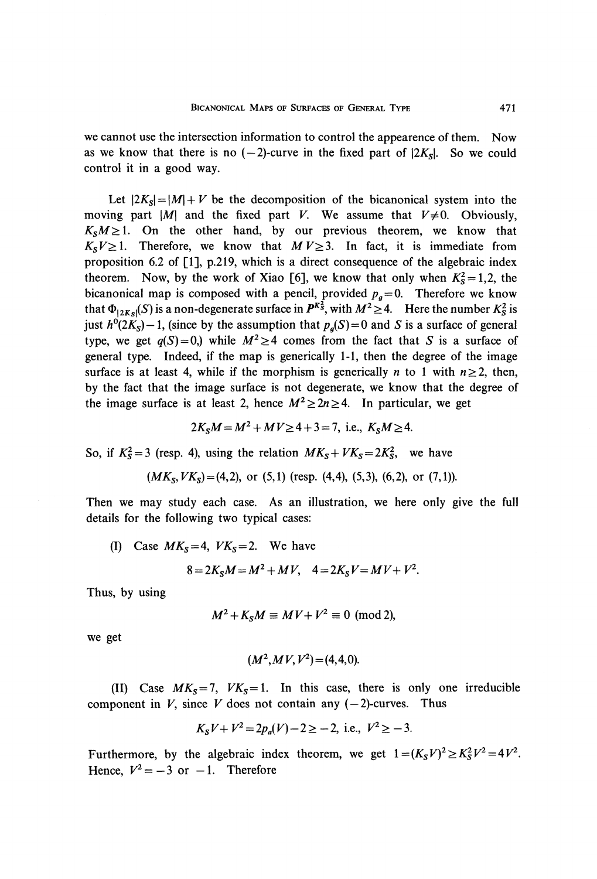we cannot use the intersection information to control the appearence of them. Now as we know that there is no  $(-2)$ -curve in the fixed part of  $|2K_s|$ . So we could control it in a good way.

Let  $|2K_s| = |M| + V$  be the decomposition of the bicanonical system into the moving part  $|M|$  and the fixed part V. We assume that  $V\neq 0$ . Obviously,  $K_S M \geq 1$ . On the other hand, by our previous theorem, we know that  $K_S V \geq 1$ . Therefore, we know that  $M V \geq 3$ . In fact, it is immediate from proposition 6.2 of [1], p.219, which is a direct consequence of the algebraic index theorem. Now, by the work of Xiao [6], we know that only when  $K_s^2 = 1,2$ , the bicanonical map is composed with a pencil, provided  $p_g = 0$ . Therefore we know that  $\Phi_{|2Ks|}(S)$  is a non-degenerate surface in  $P^{Ks}$ , with  $M^2 \geq 4$ . Here the number  $K_s^2$  is just  $h^0(2K_s) - 1$ , (since by the assumption that  $p_g(S) = 0$  and S is a surface of general type, we get  $q(S) = 0$ ,) while  $M^2 \ge 4$  comes from the fact that S is a surface of general type. Indeed, if the map is generically 1-1, then the degree of the image surface is at least 4, while if the morphism is generically *n* to 1 with  $n \ge 2$ , then, by the fact that the image surface is not degenerate, we know that the degree of the image surface is at least 2, hence  $M^2 \geq 2n \geq 4$ . In particular, we get

$$
2K_S M = M^2 + MV \ge 4 + 3 = 7
$$
, i.e.,  $K_S M \ge 4$ .

So, if  $K_s^2 = 3$  (resp. 4), using the relation  $MK_s + VK_s = 2K_s^2$ , we have

$$
(MKS, VKS) = (4,2)
$$
, or (5,1) (resp. (4,4), (5,3), (6,2), or (7,1)).

Then we may study each case. As an illustration, we here only give the full details for the following two typical cases:

(I) Case  $MK<sub>S</sub>=4$ ,  $VK<sub>S</sub>=2$ . We have

$$
8 = 2K_S M = M^2 + MV, \quad 4 = 2K_S V = MV + V^2.
$$

Thus, by using

$$
M^2 + K_S M \equiv MV + V^2 \equiv 0 \pmod{2},
$$

we get

$$
(M^2, MV,V^2)=(4,4,0).
$$

(II) Case  $MK_s = 7$ ,  $VK_s = 1$ . In this case, there is only one irreducible component in *V*, since *V* does not contain any  $(-2)$ -curves. Thus

$$
K_S V + V^2 = 2p_a(V) - 2 \ge -2
$$
, i.e.,  $V^2 \ge -3$ .

Furthermore, by the algebraic index theorem, we get  $1 = (K_S V)^2 \ge K_S^2 V^2 =$ Hence,  $V^2=-3$  or  $-1$ . Therefore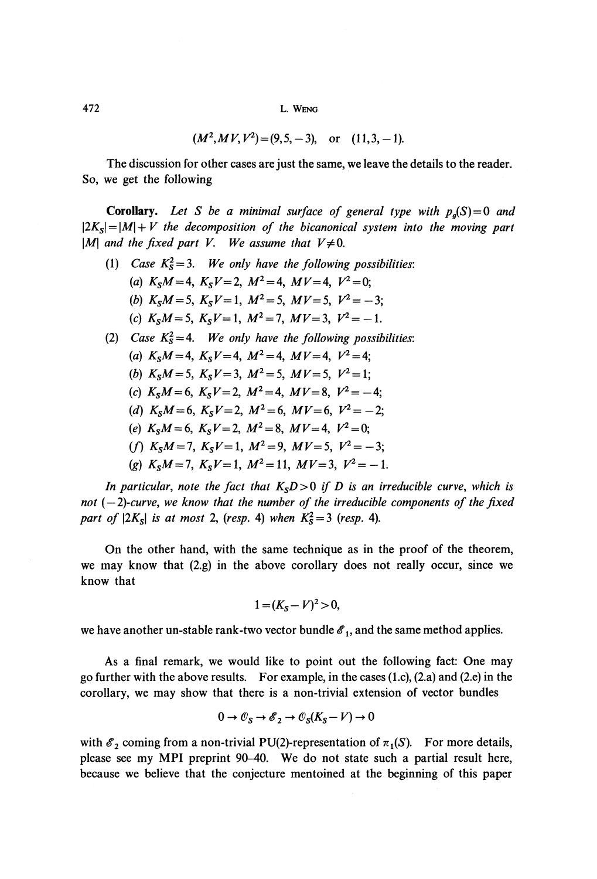$$
(M^2, M V, V^2) = (9, 5, -3)
$$
, or  $(11, 3, -1)$ .

The discussion for other cases are just the same, we leave the details to the reader. So, we get the following

**Corollary.** *Let S be a minimal surface of general type with p<sup>g</sup> (S) = Q and*  $\left| 2K_{S} \right| = \left| M \right| + V$  the decomposition of the bicanonical system into the moving part  $|M|$  and the fixed part V. We assume that  $V \neq 0$ .

- (1) *Case*  $K_s^2 = 3$ . We only have the following possibilities: (a)  $K_S M = 4$ ,  $K_S V = 2$ ,  $M^2 = 4$ ,  $M V = 4$ ,  $V^2 = 0$ ; (b)  $K_S M = 5$ ,  $K_S V = 1$ ,  $M^2 = 5$ ,  $M V = 5$ ,  $V^2 = -3$ ; (c)  $K_S M = 5$ ,  $K_S V = 1$ ,  $M^2 = 7$ ,  $M V = 3$ ,  $V^2 = -1$ . (2) *Case*  $K_s^2 = 4$ . *We only have the following possibilities:* (*a*)  $K_S M = 4$ ,  $K_S V = 4$ ,  $M^2 =$ 
	- (*b*)  $K_S M = 5$ ,  $K_S V = 3$ ,  $M^2 =$
	- (c)  $K_S M = 6$ ,  $K_S V = 2$ ,  $M^2 = 4$ ,  $M V = 8$ ,  $V^2 = -4$ ;
	- *(d)*  $K_S M = 6$ ,  $K_S V = 2$ ,  $M^2 = 6$ ,  $M V = 6$ ,  $V^2 = -2$ ;
	- $(e)$   $K_S M = 6$ ,  $K_S V = 2$ ,  $M^2 = 8$ ,  $M V = 4$ ,  $V^2 = 0$ ;
	- (*f*)  $K_S M = 7$ ,  $K_S V = 1$ ,  $M^2 =$
	- (g)  $K_S M = 7$ ,  $K_S V = 1$ ,  $M^2 =$

In particular, note the fact that  $K<sub>s</sub>D>0$  if D is an irreducible curve, which is *not ( — 2)-curve, we know that the number of the irreducible components of the fixed part of*  $|2K_s|$  *is at most* 2, (*resp.* 4) when  $K_s^2 = 3$  (*resp.* 4).

On the other hand, with the same technique as in the proof of the theorem, we may know that (2.g) in the above corollary does not really occur, since we know that

$$
1 = (K_S - V)^2 > 0,
$$

we have another un-stable rank-two vector bundle  $\mathscr{E}_{1},$  and the same method applies.

As a final remark, we would like to point out the following fact: One may go further with the above results. For example, in the cases  $(1.c)$ ,  $(2.a)$  and  $(2.e)$  in the corollary, we may show that there is a non-trivial extension of vector bundles

$$
0 \to \mathcal{O}_S \to \mathcal{E}_2 \to \mathcal{O}_S(K_S - V) \to 0
$$

with  $\mathscr{E}_2$  coming from a non-trivial PU(2)-representation of  $\pi_1(S)$ . For more details, please see my MPI preprint 90-40. We do not state such a partial result here, because we believe that the conjecture mentoined at the beginning of this paper